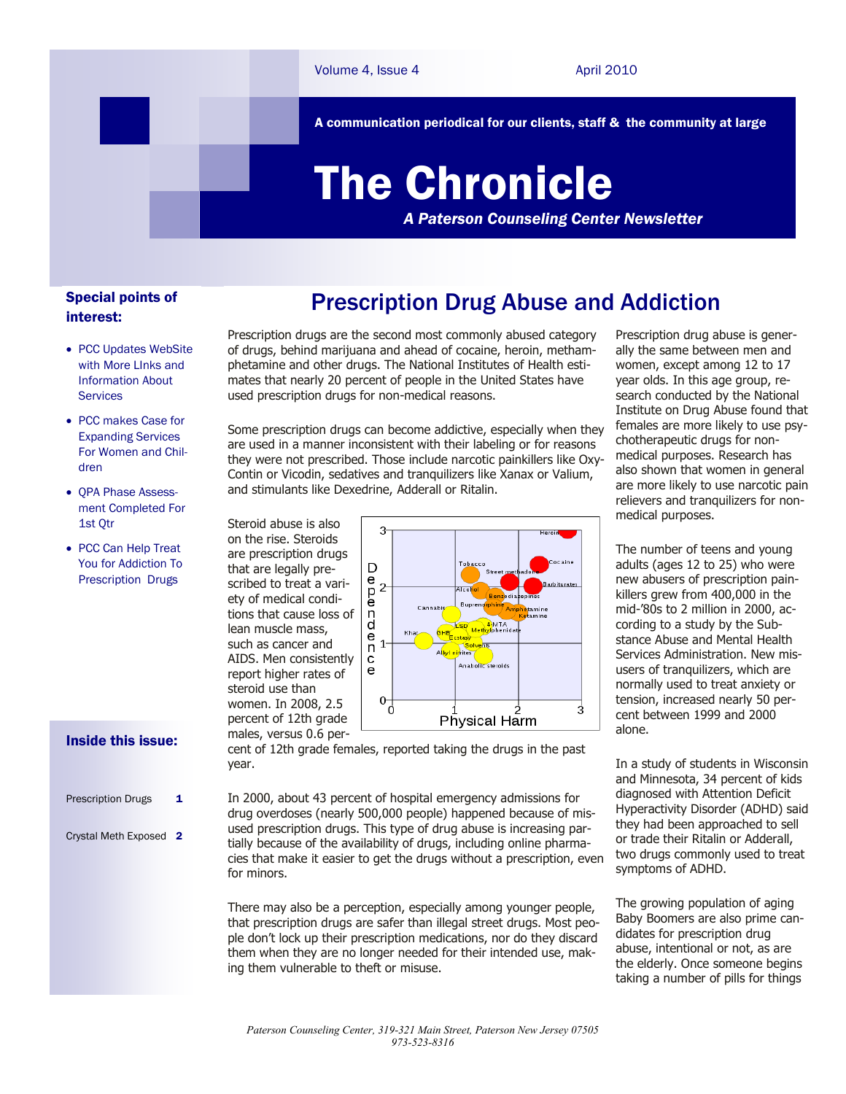A communication periodical for our clients, staff & the community at large

# The Chronicle

*A Paterson Counseling Center Newsletter*

## Special points of interest:

- PCC Updates WebSite with More LInks and Information About Services
- PCC makes Case for Expanding Services For Women and Children
- QPA Phase Assessment Completed For 1st Qtr
- PCC Can Help Treat You for Addiction To Prescription Drugs

## Prescription Drug Abuse and Addiction

Prescription drugs are the second most commonly abused category of drugs, behind marijuana and ahead of cocaine, heroin, methamphetamine and other drugs. The National Institutes of Health estimates that nearly 20 percent of people in the United States have used prescription drugs for non-medical reasons.

Some prescription drugs can become addictive, especially when they are used in a manner inconsistent with their labeling or for reasons they were not prescribed. Those include narcotic painkillers like Oxy-Contin or Vicodin, sedatives and tranquilizers like Xanax or Valium, and stimulants like Dexedrine, Adderall or Ritalin.



Prescription drug abuse is generally the same between men and women, except among 12 to 17 year olds. In this age group, research conducted by the National Institute on Drug Abuse found that females are more likely to use psychotherapeutic drugs for nonmedical purposes. Research has also shown that women in general are more likely to use narcotic pain relievers and tranquilizers for nonmedical purposes.

The number of teens and young adults (ages 12 to 25) who were new abusers of prescription painkillers grew from 400,000 in the mid-'80s to 2 million in 2000, according to a study by the Substance Abuse and Mental Health Services Administration. New misusers of tranquilizers, which are normally used to treat anxiety or tension, increased nearly 50 percent between 1999 and 2000 alone.

In a study of students in Wisconsin and Minnesota, 34 percent of kids diagnosed with Attention Deficit Hyperactivity Disorder (ADHD) said they had been approached to sell or trade their Ritalin or Adderall, two drugs commonly used to treat symptoms of ADHD.

The growing population of aging Baby Boomers are also prime candidates for prescription drug abuse, intentional or not, as are the elderly. Once someone begins taking a number of pills for things

## Inside this issue:

Prescription Drugs 1 Crystal Meth Exposed 2 cent of 12th grade females, reported taking the drugs in the past year.

In 2000, about 43 percent of hospital emergency admissions for drug overdoses (nearly 500,000 people) happened because of misused prescription drugs. This type of drug abuse is increasing partially because of the availability of drugs, including online pharmacies that make it easier to get the drugs without a prescription, even for minors.

There may also be a perception, especially among younger people, that prescription drugs are safer than illegal street drugs. Most people don't lock up their prescription medications, nor do they discard them when they are no longer needed for their intended use, making them vulnerable to theft or misuse.